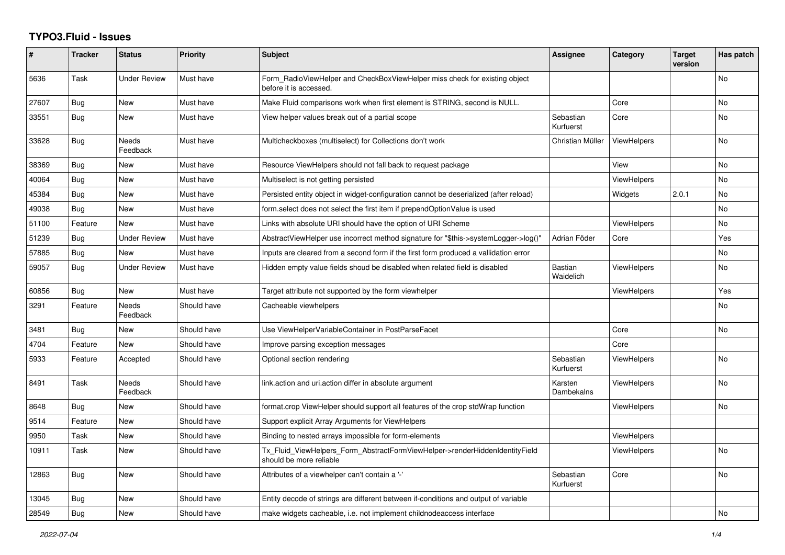## **TYPO3.Fluid - Issues**

| #     | <b>Tracker</b> | <b>Status</b>            | <b>Priority</b> | <b>Subject</b>                                                                                         | Assignee                    | Category           | <b>Target</b><br>version | Has patch |
|-------|----------------|--------------------------|-----------------|--------------------------------------------------------------------------------------------------------|-----------------------------|--------------------|--------------------------|-----------|
| 5636  | Task           | Under Review             | Must have       | Form RadioViewHelper and CheckBoxViewHelper miss check for existing object<br>before it is accessed.   |                             |                    |                          | <b>No</b> |
| 27607 | Bug            | New                      | Must have       | Make Fluid comparisons work when first element is STRING, second is NULL.                              |                             | Core               |                          | <b>No</b> |
| 33551 | Bug            | New                      | Must have       | View helper values break out of a partial scope                                                        | Sebastian<br>Kurfuerst      | Core               |                          | No        |
| 33628 | <b>Bug</b>     | <b>Needs</b><br>Feedback | Must have       | Multicheckboxes (multiselect) for Collections don't work                                               | Christian Müller            | <b>ViewHelpers</b> |                          | <b>No</b> |
| 38369 | Bug            | New                      | Must have       | Resource ViewHelpers should not fall back to request package                                           |                             | View               |                          | <b>No</b> |
| 40064 | <b>Bug</b>     | New                      | Must have       | Multiselect is not getting persisted                                                                   |                             | <b>ViewHelpers</b> |                          | <b>No</b> |
| 45384 | Bug            | <b>New</b>               | Must have       | Persisted entity object in widget-configuration cannot be deserialized (after reload)                  |                             | Widgets            | 2.0.1                    | No        |
| 49038 | <b>Bug</b>     | <b>New</b>               | Must have       | form select does not select the first item if prependOptionValue is used                               |                             |                    |                          | <b>No</b> |
| 51100 | Feature        | <b>New</b>               | Must have       | Links with absolute URI should have the option of URI Scheme                                           |                             | <b>ViewHelpers</b> |                          | <b>No</b> |
| 51239 | <b>Bug</b>     | Under Review             | Must have       | AbstractViewHelper use incorrect method signature for "\$this->systemLogger->log()"                    | Adrian Föder                | Core               |                          | Yes       |
| 57885 | Bug            | <b>New</b>               | Must have       | Inputs are cleared from a second form if the first form produced a vallidation error                   |                             |                    |                          | <b>No</b> |
| 59057 | <b>Bug</b>     | Under Review             | Must have       | Hidden empty value fields shoud be disabled when related field is disabled                             | <b>Bastian</b><br>Waidelich | <b>ViewHelpers</b> |                          | No        |
| 60856 | <b>Bug</b>     | New                      | Must have       | Target attribute not supported by the form viewhelper                                                  |                             | <b>ViewHelpers</b> |                          | Yes       |
| 3291  | Feature        | <b>Needs</b><br>Feedback | Should have     | Cacheable viewhelpers                                                                                  |                             |                    |                          | <b>No</b> |
| 3481  | <b>Bug</b>     | New                      | Should have     | Use ViewHelperVariableContainer in PostParseFacet                                                      |                             | Core               |                          | <b>No</b> |
| 4704  | Feature        | New                      | Should have     | Improve parsing exception messages                                                                     |                             | Core               |                          |           |
| 5933  | Feature        | Accepted                 | Should have     | Optional section rendering                                                                             | Sebastian<br>Kurfuerst      | <b>ViewHelpers</b> |                          | <b>No</b> |
| 8491  | Task           | Needs<br>Feedback        | Should have     | link.action and uri.action differ in absolute argument                                                 | Karsten<br>Dambekalns       | <b>ViewHelpers</b> |                          | <b>No</b> |
| 8648  | <b>Bug</b>     | New                      | Should have     | format.crop ViewHelper should support all features of the crop stdWrap function                        |                             | <b>ViewHelpers</b> |                          | <b>No</b> |
| 9514  | Feature        | New                      | Should have     | Support explicit Array Arguments for ViewHelpers                                                       |                             |                    |                          |           |
| 9950  | Task           | <b>New</b>               | Should have     | Binding to nested arrays impossible for form-elements                                                  |                             | <b>ViewHelpers</b> |                          |           |
| 10911 | Task           | New                      | Should have     | Tx Fluid ViewHelpers Form AbstractFormViewHelper->renderHiddenIdentityField<br>should be more reliable |                             | <b>ViewHelpers</b> |                          | <b>No</b> |
| 12863 | Bug            | New                      | Should have     | Attributes of a viewhelper can't contain a '-'                                                         | Sebastian<br>Kurfuerst      | Core               |                          | <b>No</b> |
| 13045 | <b>Bug</b>     | New                      | Should have     | Entity decode of strings are different between if-conditions and output of variable                    |                             |                    |                          |           |
| 28549 | Bug            | New                      | Should have     | make widgets cacheable, i.e. not implement childnodeaccess interface                                   |                             |                    |                          | No        |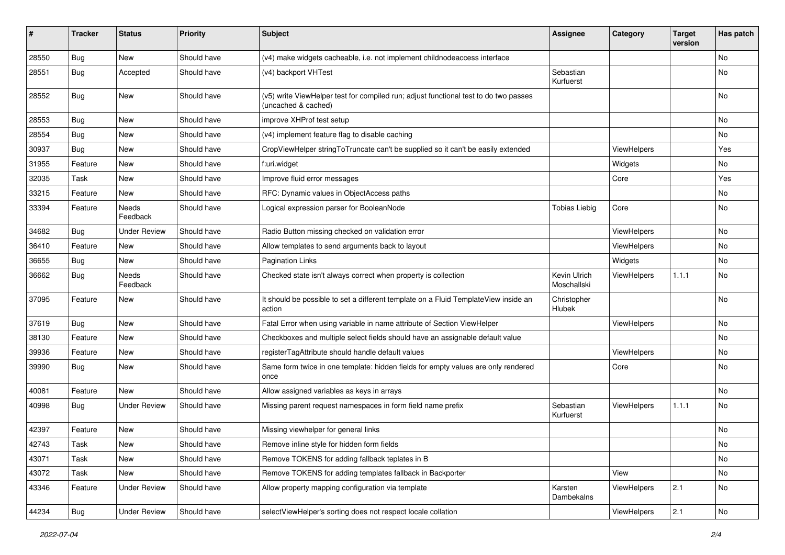| #     | <b>Tracker</b> | <b>Status</b>            | <b>Priority</b> | <b>Subject</b>                                                                                              | <b>Assignee</b>             | Category    | <b>Target</b><br>version | Has patch     |
|-------|----------------|--------------------------|-----------------|-------------------------------------------------------------------------------------------------------------|-----------------------------|-------------|--------------------------|---------------|
| 28550 | Bug            | <b>New</b>               | Should have     | (v4) make widgets cacheable, i.e. not implement childnodeaccess interface                                   |                             |             |                          | No            |
| 28551 | Bug            | Accepted                 | Should have     | (v4) backport VHTest                                                                                        | Sebastian<br>Kurfuerst      |             |                          | No            |
| 28552 | Bug            | <b>New</b>               | Should have     | (v5) write ViewHelper test for compiled run; adjust functional test to do two passes<br>(uncached & cached) |                             |             |                          | <b>No</b>     |
| 28553 | Bug            | <b>New</b>               | Should have     | improve XHProf test setup                                                                                   |                             |             |                          | <b>No</b>     |
| 28554 | Bug            | New                      | Should have     | (v4) implement feature flag to disable caching                                                              |                             |             |                          | No            |
| 30937 | Bug            | New                      | Should have     | CropViewHelper stringToTruncate can't be supplied so it can't be easily extended                            |                             | ViewHelpers |                          | Yes           |
| 31955 | Feature        | New                      | Should have     | f:uri.widget                                                                                                |                             | Widgets     |                          | No            |
| 32035 | Task           | New                      | Should have     | Improve fluid error messages                                                                                |                             | Core        |                          | Yes           |
| 33215 | Feature        | New                      | Should have     | RFC: Dynamic values in ObjectAccess paths                                                                   |                             |             |                          | No            |
| 33394 | Feature        | <b>Needs</b><br>Feedback | Should have     | Logical expression parser for BooleanNode                                                                   | <b>Tobias Liebig</b>        | Core        |                          | No            |
| 34682 | Bug            | <b>Under Review</b>      | Should have     | Radio Button missing checked on validation error                                                            |                             | ViewHelpers |                          | <b>No</b>     |
| 36410 | Feature        | New                      | Should have     | Allow templates to send arguments back to layout                                                            |                             | ViewHelpers |                          | No            |
| 36655 | Bug            | New                      | Should have     | <b>Pagination Links</b>                                                                                     |                             | Widgets     |                          | No            |
| 36662 | <b>Bug</b>     | Needs<br>Feedback        | Should have     | Checked state isn't always correct when property is collection                                              | Kevin Ulrich<br>Moschallski | ViewHelpers | 1.1.1                    | No            |
| 37095 | Feature        | New                      | Should have     | It should be possible to set a different template on a Fluid TemplateView inside an<br>action               | Christopher<br>Hlubek       |             |                          | No            |
| 37619 | Bug            | New                      | Should have     | Fatal Error when using variable in name attribute of Section ViewHelper                                     |                             | ViewHelpers |                          | No            |
| 38130 | Feature        | New                      | Should have     | Checkboxes and multiple select fields should have an assignable default value                               |                             |             |                          | <b>No</b>     |
| 39936 | Feature        | New                      | Should have     | registerTagAttribute should handle default values                                                           |                             | ViewHelpers |                          | No            |
| 39990 | Bug            | New                      | Should have     | Same form twice in one template: hidden fields for empty values are only rendered<br>once                   |                             | Core        |                          | <b>No</b>     |
| 40081 | Feature        | New                      | Should have     | Allow assigned variables as keys in arrays                                                                  |                             |             |                          | <b>No</b>     |
| 40998 | Bug            | <b>Under Review</b>      | Should have     | Missing parent request namespaces in form field name prefix                                                 | Sebastian<br>Kurfuerst      | ViewHelpers | 1.1.1                    | No            |
| 42397 | Feature        | New                      | Should have     | Missing viewhelper for general links                                                                        |                             |             |                          | No            |
| 42743 | Task           | New                      | Should have     | Remove inline style for hidden form fields                                                                  |                             |             |                          | $\mathsf{No}$ |
| 43071 | Task           | New                      | Should have     | Remove TOKENS for adding fallback teplates in B                                                             |                             |             |                          | No            |
| 43072 | Task           | New                      | Should have     | Remove TOKENS for adding templates fallback in Backporter                                                   |                             | View        |                          | No            |
| 43346 | Feature        | <b>Under Review</b>      | Should have     | Allow property mapping configuration via template                                                           | Karsten<br>Dambekalns       | ViewHelpers | 2.1                      | No            |
| 44234 | <b>Bug</b>     | <b>Under Review</b>      | Should have     | selectViewHelper's sorting does not respect locale collation                                                |                             | ViewHelpers | 2.1                      | $\mathsf{No}$ |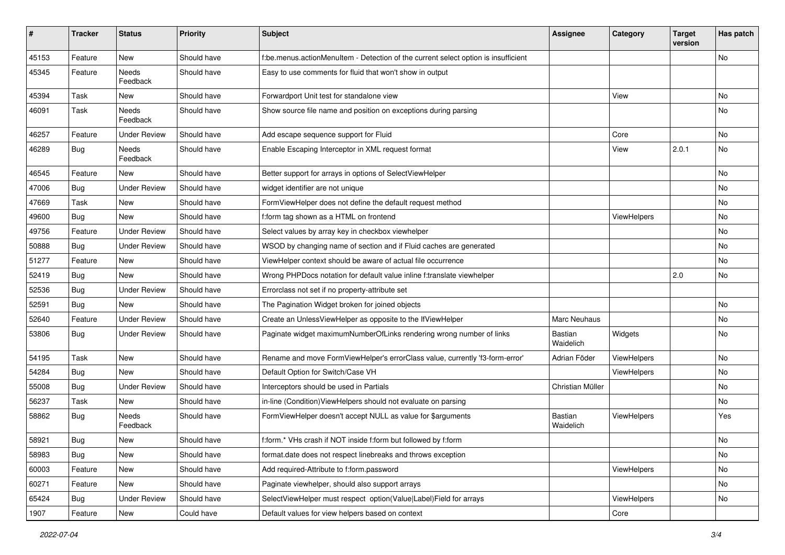| ∦     | <b>Tracker</b> | <b>Status</b>            | <b>Priority</b> | <b>Subject</b>                                                                     | <b>Assignee</b>      | Category           | <b>Target</b><br>version | Has patch |
|-------|----------------|--------------------------|-----------------|------------------------------------------------------------------------------------|----------------------|--------------------|--------------------------|-----------|
| 45153 | Feature        | New                      | Should have     | f:be.menus.actionMenuItem - Detection of the current select option is insufficient |                      |                    |                          | No        |
| 45345 | Feature        | <b>Needs</b><br>Feedback | Should have     | Easy to use comments for fluid that won't show in output                           |                      |                    |                          |           |
| 45394 | Task           | New                      | Should have     | Forwardport Unit test for standalone view                                          |                      | View               |                          | No        |
| 46091 | Task           | Needs<br>Feedback        | Should have     | Show source file name and position on exceptions during parsing                    |                      |                    |                          | No        |
| 46257 | Feature        | <b>Under Review</b>      | Should have     | Add escape sequence support for Fluid                                              |                      | Core               |                          | No        |
| 46289 | Bug            | Needs<br>Feedback        | Should have     | Enable Escaping Interceptor in XML request format                                  |                      | View               | 2.0.1                    | No        |
| 46545 | Feature        | New                      | Should have     | Better support for arrays in options of SelectViewHelper                           |                      |                    |                          | No        |
| 47006 | Bug            | <b>Under Review</b>      | Should have     | widget identifier are not unique                                                   |                      |                    |                          | No        |
| 47669 | Task           | <b>New</b>               | Should have     | FormViewHelper does not define the default request method                          |                      |                    |                          | No        |
| 49600 | Bug            | New                      | Should have     | f:form tag shown as a HTML on frontend                                             |                      | <b>ViewHelpers</b> |                          | No        |
| 49756 | Feature        | <b>Under Review</b>      | Should have     | Select values by array key in checkbox viewhelper                                  |                      |                    |                          | No.       |
| 50888 | Bug            | <b>Under Review</b>      | Should have     | WSOD by changing name of section and if Fluid caches are generated                 |                      |                    |                          | No        |
| 51277 | Feature        | New                      | Should have     | ViewHelper context should be aware of actual file occurrence                       |                      |                    |                          | No        |
| 52419 | Bug            | <b>New</b>               | Should have     | Wrong PHPDocs notation for default value inline f:translate viewhelper             |                      |                    | 2.0                      | No        |
| 52536 | Bug            | <b>Under Review</b>      | Should have     | Errorclass not set if no property-attribute set                                    |                      |                    |                          |           |
| 52591 | Bug            | New                      | Should have     | The Pagination Widget broken for joined objects                                    |                      |                    |                          | No        |
| 52640 | Feature        | <b>Under Review</b>      | Should have     | Create an UnlessViewHelper as opposite to the IfViewHelper                         | <b>Marc Neuhaus</b>  |                    |                          | No        |
| 53806 | Bug            | <b>Under Review</b>      | Should have     | Paginate widget maximumNumberOfLinks rendering wrong number of links               | Bastian<br>Waidelich | Widgets            |                          | No        |
| 54195 | Task           | New                      | Should have     | Rename and move FormViewHelper's errorClass value, currently 'f3-form-error'       | Adrian Föder         | ViewHelpers        |                          | No        |
| 54284 | Bug            | New                      | Should have     | Default Option for Switch/Case VH                                                  |                      | ViewHelpers        |                          | No        |
| 55008 | Bug            | <b>Under Review</b>      | Should have     | Interceptors should be used in Partials                                            | Christian Müller     |                    |                          | No        |
| 56237 | Task           | New                      | Should have     | in-line (Condition) View Helpers should not evaluate on parsing                    |                      |                    |                          | No        |
| 58862 | Bug            | <b>Needs</b><br>Feedback | Should have     | FormViewHelper doesn't accept NULL as value for \$arguments                        | Bastian<br>Waidelich | ViewHelpers        |                          | Yes       |
| 58921 | Bug            | New                      | Should have     | f:form.* VHs crash if NOT inside f:form but followed by f:form                     |                      |                    |                          | No        |
| 58983 | <b>Bug</b>     | New                      | Should have     | format.date does not respect linebreaks and throws exception                       |                      |                    |                          | No        |
| 60003 | Feature        | New                      | Should have     | Add required-Attribute to f:form.password                                          |                      | ViewHelpers        |                          | No        |
| 60271 | Feature        | New                      | Should have     | Paginate viewhelper, should also support arrays                                    |                      |                    |                          | No        |
| 65424 | Bug            | <b>Under Review</b>      | Should have     | SelectViewHelper must respect option(Value Label)Field for arrays                  |                      | ViewHelpers        |                          | No        |
| 1907  | Feature        | New                      | Could have      | Default values for view helpers based on context                                   |                      | Core               |                          |           |